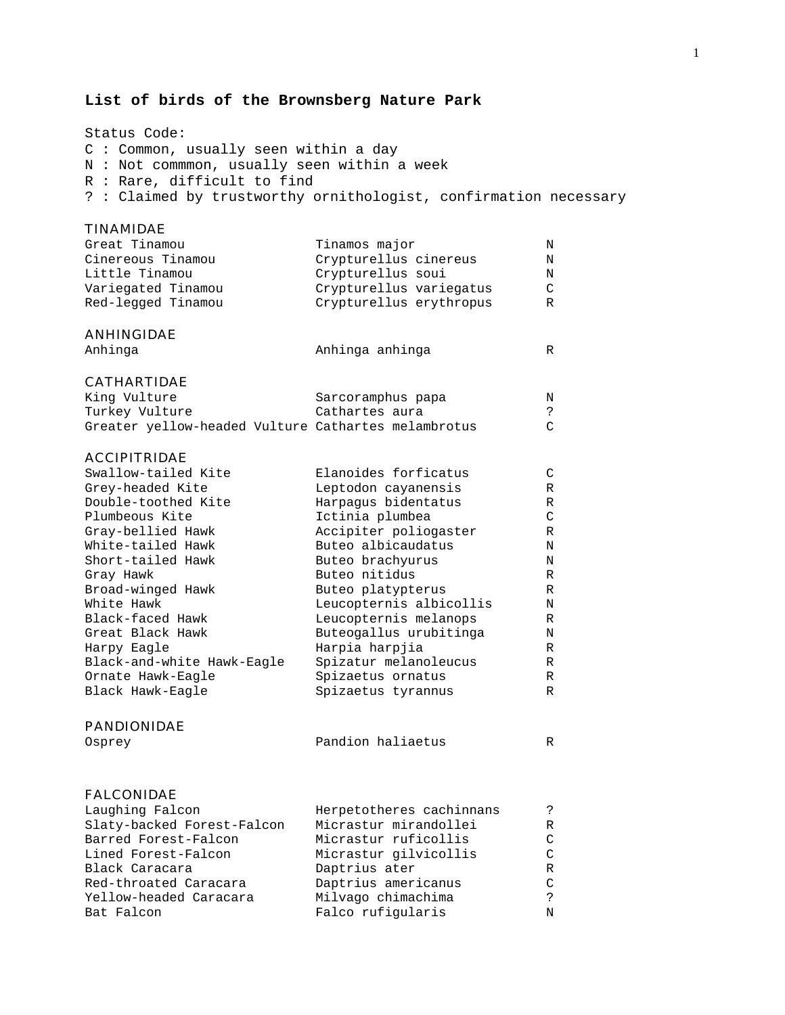#### **List of birds of the Brownsberg Nature Park**

Status Code: C : Common, usually seen within a day N : Not commmon, usually seen within a week R : Rare, difficult to find ? : Claimed by trustworthy ornithologist, confirmation necessary

#### TINAMIDAE

| Great Tinamou      | Tinamos major           | Ν      |
|--------------------|-------------------------|--------|
| Cinereous Tinamou  | Crypturellus cinereus   | N      |
| Little Tinamou     | Crypturellus soui       | N      |
| Variegated Tinamou | Crypturellus variegatus | $\cap$ |
| Red-legged Tinamou | Crypturellus erythropus | R      |
| <b>ANHINGIDAE</b>  |                         |        |
| Anhinga            | Anhinga anhinga         | R      |

## CATHARTIDAE

| King Vulture                                        | Sarcoramphus papa | N |
|-----------------------------------------------------|-------------------|---|
| Turkey Vulture                                      | Cathartes aura    |   |
| Greater yellow-headed Vulture Cathartes melambrotus |                   |   |

# ACCIPITRIDAE<br>Swallow-tailed Kite

| Swallow-tailed Kite        | Elanoides forficatus    | C |
|----------------------------|-------------------------|---|
| Grey-headed Kite           | Leptodon cayanensis     | R |
| Double-toothed Kite        | Harpagus bidentatus     | R |
| Plumbeous Kite             | Ictinia plumbea         | C |
| Gray-bellied Hawk          | Accipiter poliogaster   | R |
| White-tailed Hawk          | Buteo albicaudatus      | Ν |
| Short-tailed Hawk          | Buteo brachyurus        | N |
| Gray Hawk                  | Buteo nitidus           | R |
| Broad-winged Hawk          | Buteo platypterus       | R |
| White Hawk                 | Leucopternis albicollis | N |
| Black-faced Hawk           | Leucopternis melanops   | R |
| Great Black Hawk           | Buteogallus urubitinga  | N |
| Harpy Eagle                | Harpia harpjia          | R |
| Black-and-white Hawk-Eagle | Spizatur melanoleucus   | R |
| Ornate Hawk-Eagle          | Spizaetus ornatus       | R |
| Black Hawk-Eaqle           | Spizaetus tyrannus      | R |
|                            |                         |   |

#### PANDIONIDAE

Osprey Pandion haliaetus R

#### FALCONIDAE

| Laughing Falcon            | Herpetotheres cachinnans |    |
|----------------------------|--------------------------|----|
| Slaty-backed Forest-Falcon | Micrastur mirandollei    | R  |
| Barred Forest-Falcon       | Micrastur ruficollis     | C  |
| Lined Forest-Falcon        | Micrastur gilvicollis    | C  |
| Black Caracara             | Daptrius ater            | R  |
| Red-throated Caracara      | Daptrius americanus      | C  |
| Yellow-headed Caracara     | Milvago chimachima       | C. |
| Bat Falcon                 | Falco rufigularis        | N  |
|                            |                          |    |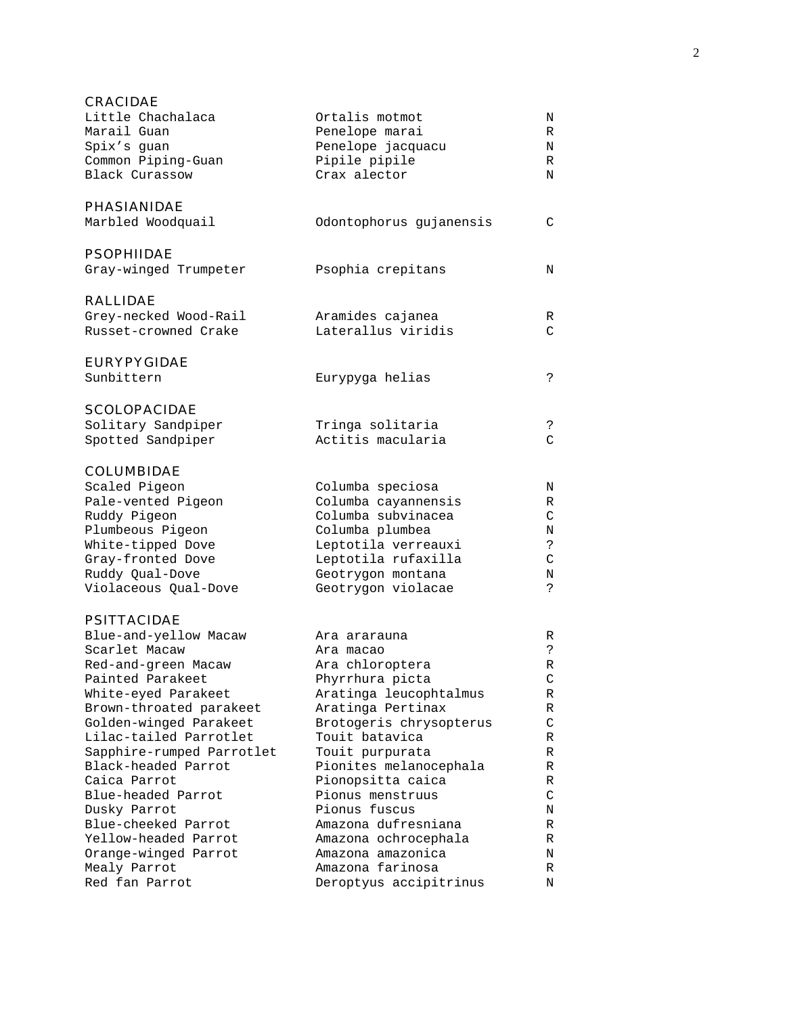| <b>CRACIDAE</b>                        |                                        |         |
|----------------------------------------|----------------------------------------|---------|
| Little Chachalaca                      | Ortalis motmot                         | Ν       |
| Marail Guan                            | Penelope marai                         | R       |
| Spix's guan                            | Penelope jacquacu                      | N       |
| Common Piping-Guan                     | Pipile pipile                          | R       |
| <b>Black Curassow</b>                  | Crax alector                           | N       |
| <b>PHASIANIDAE</b>                     |                                        |         |
| Marbled Woodquail                      | Odontophorus gujanensis                | C       |
| <b>PSOPHIIDAE</b>                      |                                        |         |
| Gray-winged Trumpeter                  | Psophia crepitans                      | Ν       |
| <b>RALLIDAE</b>                        |                                        |         |
| Grey-necked Wood-Rail                  | Aramides cajanea                       | R       |
| Russet-crowned Crake                   | Laterallus viridis                     | C       |
| <b>EURYPYGIDAE</b>                     |                                        |         |
| Sunbittern                             | Eurypyga helias                        | ?       |
| <b>SCOLOPACIDAE</b>                    |                                        |         |
| Solitary Sandpiper                     | Tringa solitaria                       | ?       |
| Spotted Sandpiper                      | Actitis macularia                      | C       |
| <b>COLUMBIDAE</b>                      |                                        |         |
| Scaled Pigeon                          | Columba speciosa                       | Ν       |
| Pale-vented Pigeon                     | Columba cayannensis                    | R       |
| Ruddy Pigeon                           | Columba subvinacea                     | C       |
| Plumbeous Pigeon                       | Columba plumbea<br>Leptotila verreauxi | Ν<br>S. |
| White-tipped Dove<br>Gray-fronted Dove | Leptotila rufaxilla                    | $\rm C$ |
| Ruddy Qual-Dove                        | Geotrygon montana                      | Ν       |
| Violaceous Qual-Dove                   | Geotrygon violacae                     | S.      |
| <b>PSITTACIDAE</b>                     |                                        |         |
| Blue-and-yellow Macaw                  | Ara ararauna                           | R       |
| Scarlet Macaw                          | Ara macao                              | د.      |
| Red-and-green Macaw                    | Ara chloroptera                        | R       |
| Painted Parakeet                       | Phyrrhura picta                        | C       |
| White-eyed Parakeet                    | Aratinga leucophtalmus                 | R       |
| Brown-throated parakeet                | Aratinga Pertinax                      | R       |
| Golden-winged Parakeet                 | Brotogeris chrysopterus                | C       |
| Lilac-tailed Parrotlet                 | Touit batavica                         | R       |
| Sapphire-rumped Parrotlet              | Touit purpurata                        | R       |
| Black-headed Parrot<br>Caica Parrot    | Pionites melanocephala                 | R<br>R  |
| Blue-headed Parrot                     | Pionopsitta caica<br>Pionus menstruus  | C       |
| Dusky Parrot                           | Pionus fuscus                          | N       |
| Blue-cheeked Parrot                    | Amazona dufresniana                    | R       |
| Yellow-headed Parrot                   | Amazona ochrocephala                   | R       |
| Orange-winged Parrot                   | Amazona amazonica                      | Ν       |
| Mealy Parrot                           | Amazona farinosa                       | R       |
| Red fan Parrot                         | Deroptyus accipitrinus                 | N       |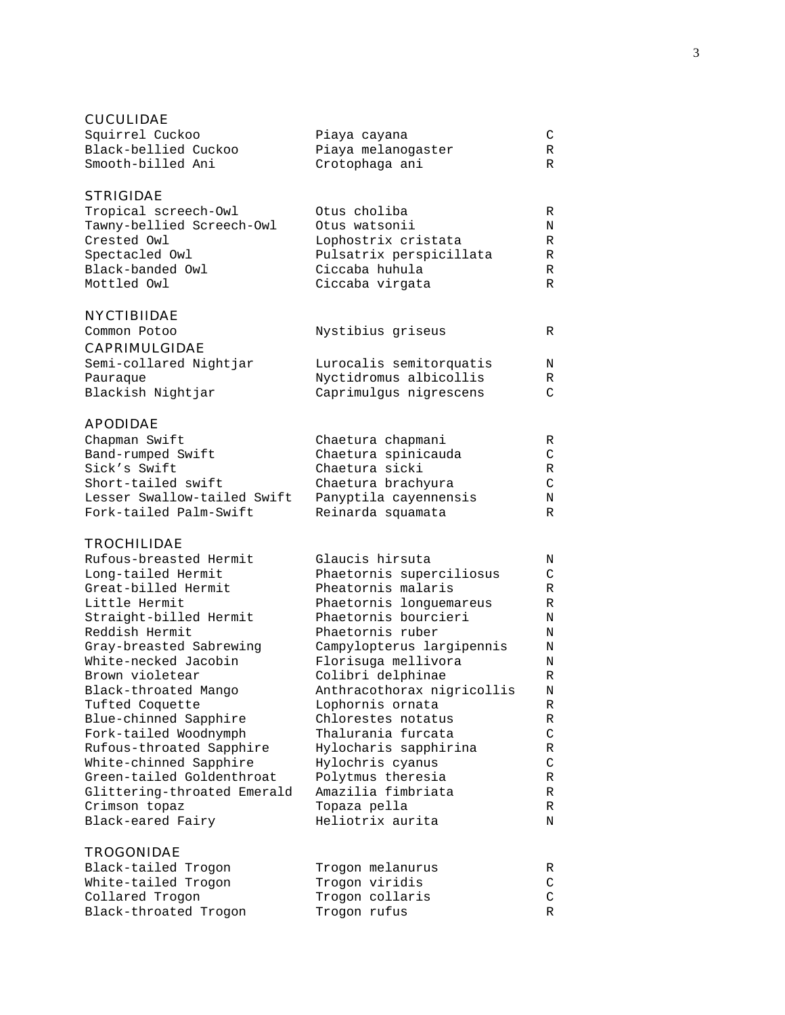## CUCULIDAE

| Squirrel Cuckoo      | Piaya cayana       |  |
|----------------------|--------------------|--|
| Black-bellied Cuckoo | Piaya melanoqaster |  |
| Smooth-billed Ani    | Crotophaga ani     |  |

## STRIGIDAE

| Tropical screech-Owl      | Otus choliba            | R |
|---------------------------|-------------------------|---|
| Tawny-bellied Screech-Owl | Otus watsonii           | N |
| Crested Owl               | Lophostrix cristata     | R |
| Spectacled Owl            | Pulsatrix perspicillata | R |
| Black-banded Owl          | Ciccaba huhula          | R |
| Mottled Owl               | Ciccaba virgata         | R |
|                           |                         |   |

## NYCTIBIIDAE

| Common Potoo           | Nystibius griseus       | R |
|------------------------|-------------------------|---|
| <b>CAPRIMULGIDAE</b>   |                         |   |
| Semi-collared Nightjar | Lurocalis semitorquatis | N |
| Pauraque               | Nyctidromus albicollis  | R |
| Blackish Nightjar      | Caprimulgus nigrescens  |   |

## APODIDAE

| Chapman Swift               | Chaetura chapmani     | R |
|-----------------------------|-----------------------|---|
| Band-rumped Swift           | Chaetura spinicauda   |   |
| Sick's Swift                | Chaetura sicki        | R |
| Short-tailed swift          | Chaetura brachyura    |   |
| Lesser Swallow-tailed Swift | Panyptila cayennensis | N |
| Fork-tailed Palm-Swift      | Reinarda squamata     | R |

## TROCHILIDAE

| Rufous-breasted Hermit      | Glaucis hirsuta            | N |
|-----------------------------|----------------------------|---|
| Long-tailed Hermit          | Phaetornis superciliosus   | C |
| Great-billed Hermit         | Pheatornis malaris         | R |
| Little Hermit               | Phaetornis longuemareus    | R |
| Straight-billed Hermit      | Phaetornis bourcieri       | N |
| Reddish Hermit              | Phaetornis ruber           | N |
| Gray-breasted Sabrewing     | Campylopterus largipennis  | N |
| White-necked Jacobin        | Florisuga mellivora        | Ν |
| Brown violetear             | Colibri delphinae          | R |
| Black-throated Mango        | Anthracothorax nigricollis | N |
| Tufted Coquette             | Lophornis ornata           | R |
| Blue-chinned Sapphire       | Chlorestes notatus         | R |
| Fork-tailed Woodnymph       | Thalurania furcata         | C |
| Rufous-throated Sapphire    | Hylocharis sapphirina      | R |
| White-chinned Sapphire      | Hylochris cyanus           | C |
| Green-tailed Goldenthroat   | Polytmus theresia          | R |
| Glittering-throated Emerald | Amazilia fimbriata         | R |
| Crimson topaz               | Topaza pella               | R |
| Black-eared Fairy           | Heliotrix aurita           | N |
|                             |                            |   |

## TROGONIDAE

| Black-tailed Trogon   | Trogon melanurus | R |
|-----------------------|------------------|---|
| White-tailed Trogon   | Trogon viridis   |   |
| Collared Trogon       | Trogon collaris  |   |
| Black-throated Trogon | Trogon rufus     | R |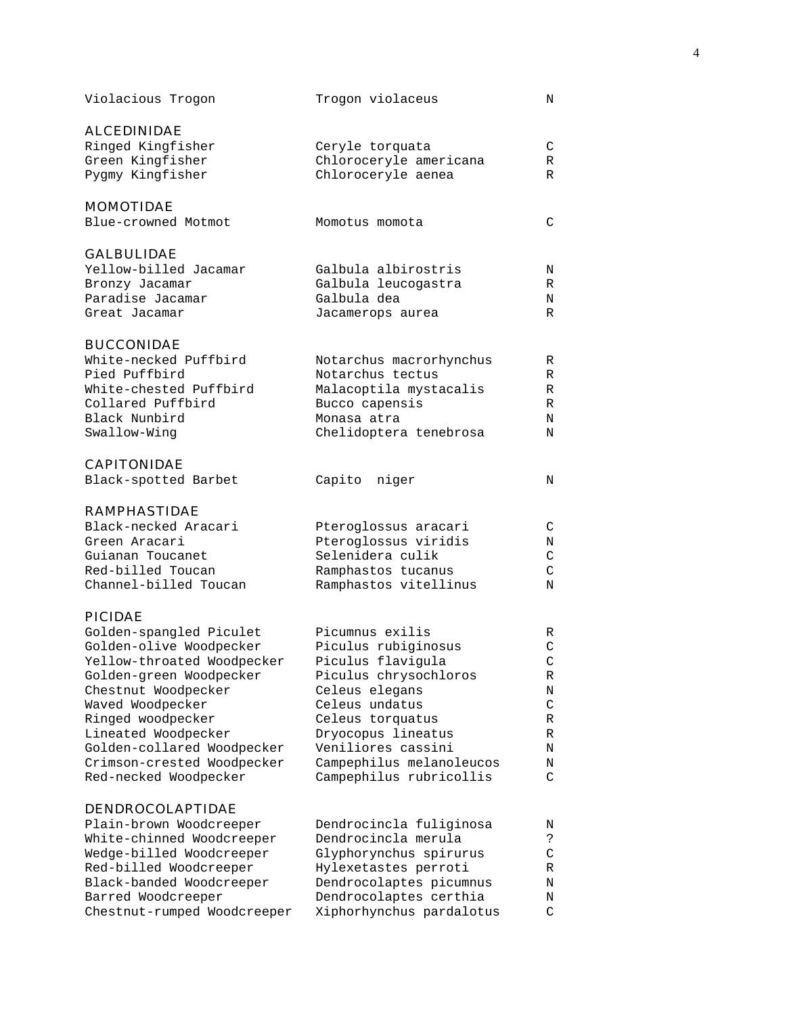| Violacious Trogon                                     | Trogon violaceus                                    | Ν                  |
|-------------------------------------------------------|-----------------------------------------------------|--------------------|
| <b>ALCEDINIDAE</b>                                    |                                                     |                    |
| Ringed Kingfisher                                     | Ceryle torquata                                     | C                  |
| Green Kingfisher                                      | Chloroceryle americana                              | R                  |
| Pygmy Kingfisher                                      | Chloroceryle aenea                                  | R                  |
|                                                       |                                                     |                    |
| <b>MOMOTIDAE</b>                                      |                                                     |                    |
| Blue-crowned Motmot                                   | Momotus momota                                      | C                  |
| <b>GALBULIDAE</b>                                     |                                                     |                    |
| Yellow-billed Jacamar                                 | Galbula albirostris                                 | Ν                  |
| Bronzy Jacamar                                        | Galbula leucogastra                                 | R                  |
| Paradise Jacamar                                      | Galbula dea                                         | Ν                  |
| Great Jacamar                                         | Jacamerops aurea                                    | R                  |
|                                                       |                                                     |                    |
| <b>BUCCONIDAE</b><br>White-necked Puffbird            |                                                     |                    |
|                                                       | Notarchus macrorhynchus                             | R                  |
| Pied Puffbird                                         | Notarchus tectus                                    | R                  |
| White-chested Puffbird                                | Malacoptila mystacalis                              | R                  |
| Collared Puffbird                                     | Bucco capensis                                      | R                  |
| Black Nunbird                                         | Monasa atra                                         | N                  |
| Swallow-Wing                                          | Chelidoptera tenebrosa                              | N                  |
| <b>CAPITONIDAE</b>                                    |                                                     |                    |
| Black-spotted Barbet                                  | Capito<br>niger                                     | N                  |
| <b>RAMPHASTIDAE</b>                                   |                                                     |                    |
| Black-necked Aracari                                  | Pteroglossus aracari                                | C                  |
| Green Aracari                                         | Pteroglossus viridis                                | Ν                  |
| Guianan Toucanet                                      | Selenidera culik                                    | C                  |
| Red-billed Toucan                                     | Ramphastos tucanus                                  | C                  |
| Channel-billed Toucan                                 | Ramphastos vitellinus                               | N                  |
| <b>PICIDAE</b>                                        |                                                     |                    |
|                                                       | Picumnus exilis                                     |                    |
| Golden-spangled Piculet                               |                                                     | R                  |
| Golden-olive Woodpecker<br>Yellow-throated Woodpecker | Piculus rubiginosus                                 | C<br>$\mathcal{C}$ |
|                                                       | Piculus flavigula                                   |                    |
| Golden-green Woodpecker                               | Piculus chrysochloros                               | R                  |
| Chestnut Woodpecker                                   | Celeus elegans                                      | Ν                  |
| Waved Woodpecker                                      | Celeus undatus                                      | C                  |
| Ringed woodpecker                                     | Celeus torquatus                                    | R                  |
| Lineated Woodpecker                                   | Dryocopus lineatus                                  | R                  |
| Golden-collared Woodpecker                            | Veniliores cassini                                  | Ν                  |
| Crimson-crested Woodpecker<br>Red-necked Woodpecker   | Campephilus melanoleucos<br>Campephilus rubricollis | Ν<br>C             |
|                                                       |                                                     |                    |
| <b>DENDROCOLAPTIDAE</b>                               |                                                     |                    |
| Plain-brown Woodcreeper                               | Dendrocincla fuliginosa                             | Ν                  |
| White-chinned Woodcreeper                             | Dendrocincla merula                                 | ج.                 |
| Wedge-billed Woodcreeper                              | Glyphorynchus spirurus                              | $\mathsf{C}$       |
| Red-billed Woodcreeper                                | Hylexetastes perroti                                | R                  |
| Black-banded Woodcreeper                              | Dendrocolaptes picumnus                             | Ν                  |
| Barred Woodcreeper                                    | Dendrocolaptes certhia                              | Ν                  |
| Chestnut-rumped Woodcreeper                           | Xiphorhynchus pardalotus                            | C                  |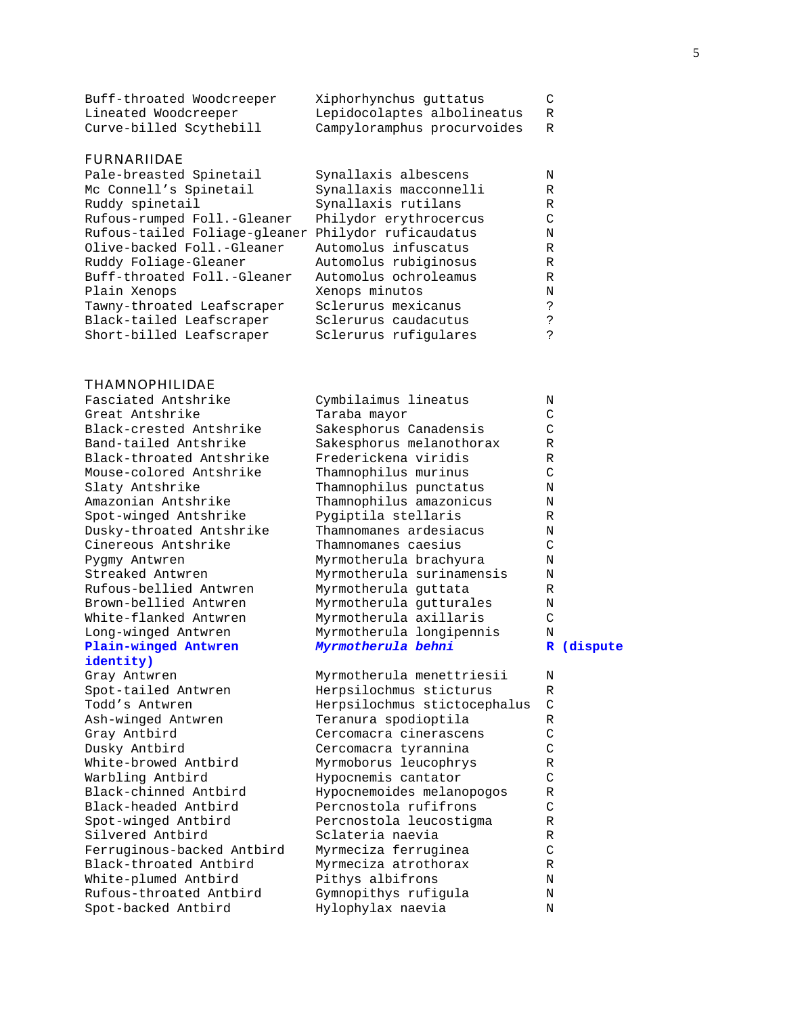| Buff-throated Woodcreeper | Xiphorhynchus quttatus      | $\mathbb{C}$ |
|---------------------------|-----------------------------|--------------|
| Lineated Woodcreeper      | Lepidocolaptes albolineatus |              |
| Curve-billed Scythebill   | Campyloramphus procurvoides |              |

#### FURNARIIDAE

| Pale-breasted Spinetail                             | Synallaxis albescens   | N |
|-----------------------------------------------------|------------------------|---|
| Mc Connell's Spinetail                              | Synallaxis macconnelli | R |
| Ruddy spinetail                                     | Synallaxis rutilans    | R |
| Rufous-rumped Foll.-Gleaner                         | Philydor erythrocercus | C |
| Rufous-tailed Foliage-gleaner Philydor ruficaudatus |                        | N |
| Olive-backed Foll.-Gleaner                          | Automolus infuscatus   | R |
| Ruddy Foliage-Gleaner                               | Automolus rubiginosus  | R |
| Buff-throated Foll.-Gleaner                         | Automolus ochroleamus  | R |
| Plain Xenops                                        | Xenops minutos         | N |
| Tawny-throated Leafscraper                          | Sclerurus mexicanus    | ? |
| Black-tailed Leafscraper                            | Sclerurus caudacutus   | ? |
| Short-billed Leafscraper                            | Sclerurus rufiqulares  |   |
|                                                     |                        |   |

#### THAMNOPHILIDAE

## **identity)**

Spot-backed Antbird Markuphylax naevia N

| Fasciated Antshrike      | Cymbilaimus lineatus      | N             |            |
|--------------------------|---------------------------|---------------|------------|
| Great Antshrike          | Taraba mayor              | C             |            |
| Black-crested Antshrike  | Sakesphorus Canadensis    | C             |            |
| Band-tailed Antshrike    | Sakesphorus melanothorax  | R             |            |
| Black-throated Antshrike | Frederickena viridis      | R             |            |
| Mouse-colored Antshrike  | Thamnophilus murinus      | C             |            |
| Slaty Antshrike          | Thamnophilus punctatus    | N             |            |
| Amazonian Antshrike      | Thamnophilus amazonicus   | N             |            |
| Spot-winged Antshrike    | Pygiptila stellaris       | R             |            |
| Dusky-throated Antshrike | Thamnomanes ardesiacus    | N             |            |
| Cinereous Antshrike      | Thamnomanes caesius       | $\mathcal{C}$ |            |
| Pygmy Antwren            | Myrmotherula brachyura    | N             |            |
| Streaked Antwren         | Myrmotherula surinamensis | N             |            |
| Rufous-bellied Antwren   | Myrmotherula quttata      | R             |            |
| Brown-bellied Antwren    | Myrmotherula qutturales   | N             |            |
| White-flanked Antwren    | Myrmotherula axillaris    | $\mathcal{C}$ |            |
| Long-winged Antwren      | Myrmotherula longipennis  | N             |            |
| Plain-winged Antwren     | Myrmotherula behni        |               | R (dispute |

Gray Antwren **Myrmotherula** menettriesii N Spot-tailed Antwren Herpsilochmus sticturus R Herpsilochmus stictocephalus C Ash-winged Antwren Teranura spodioptila R Gray Antbird Cercomacra cinerascens C Dusky Antbird Cercomacra tyrannina C Myrmoborus leucophrys R Warbling Antbird Hypocnemis cantator C Black-chinned Antbird Hypocnemoides melanopogos R Black-headed Antbird Percnostola rufifrons C Spot-winged Antbird Percnostola leucostigma R Silvered Antbird Sclateria naevia Ferruginous-backed Antbird Myrmeciza ferruginea C Black-throated Antbird Myrmeciza atrothorax R White-plumed Antbird Pithys albifrons N Rufous-throated Antbird Gymnopithys rufigula N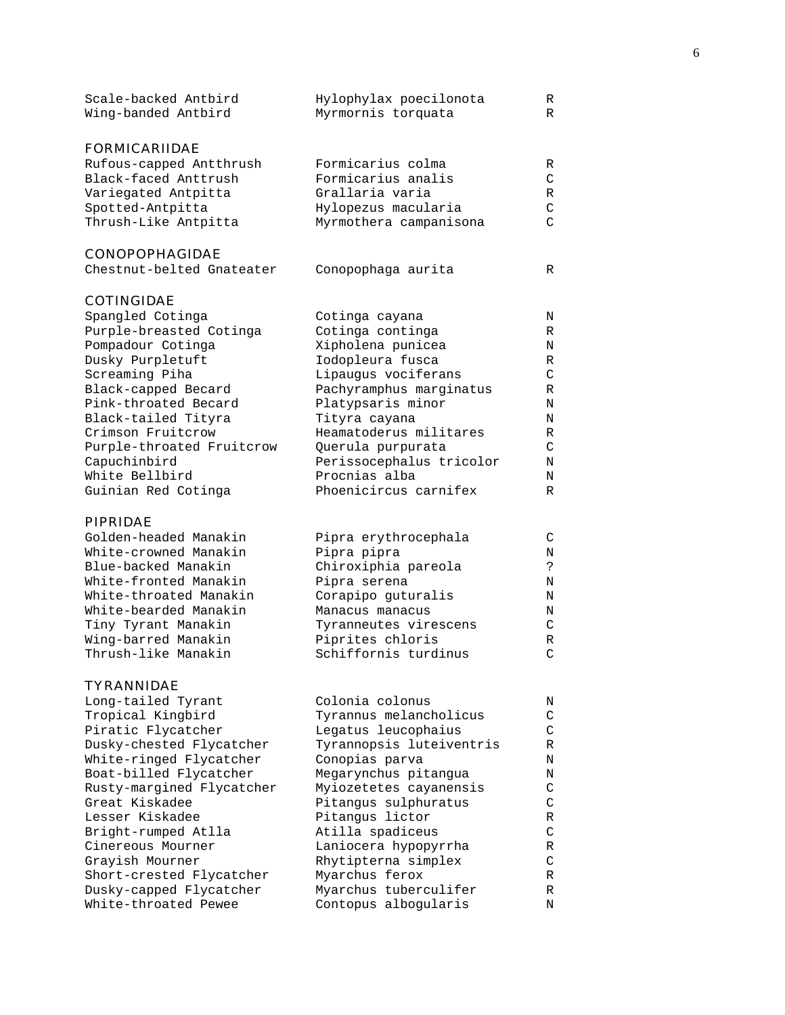| Scale-backed Antbird<br>Wing-banded Antbird | Hylophylax poecilonota<br>Myrmornis torquata | R<br>R |
|---------------------------------------------|----------------------------------------------|--------|
| <b>FORMICARIIDAE</b>                        |                                              |        |
| Rufous-capped Antthrush                     | Formicarius colma                            | R      |
| Black-faced Anttrush                        | Formicarius analis                           | C      |
| Variegated Antpitta                         | Grallaria varia                              | R      |
| Spotted-Antpitta                            | Hylopezus macularia                          |        |

#### CONOPOPHAGIDAE

| Conopophaga aurita<br>Chestnut-belted Gnateater |  |
|-------------------------------------------------|--|
|-------------------------------------------------|--|

Thrush-Like Antpitta Myrmothera campanisona C

## COTINGIDAE

| Spangled Cotinga          | Cotinga cayana           | N |
|---------------------------|--------------------------|---|
| Purple-breasted Cotinga   | Cotinga continga         | R |
| Pompadour Cotinga         | Xipholena punicea        | N |
| Dusky Purpletuft          | Iodopleura fusca         | R |
| Screaming Piha            | Lipaugus vociferans      | C |
| Black-capped Becard       | Pachyramphus marginatus  | R |
| Pink-throated Becard      | Platypsaris minor        | N |
| Black-tailed Tityra       | Tityra cayana            | Ν |
| Crimson Fruitcrow         | Heamatoderus militares   | R |
| Purple-throated Fruitcrow | Querula purpurata        | C |
| Capuchinbird              | Perissocephalus tricolor | N |
| White Bellbird            | Procnias alba            | Ν |
| Guinian Red Cotinga       | Phoenicircus carnifex    | R |
|                           |                          |   |

### PIPRIDAE

| Golden-headed Manakin  | Pipra erythrocephala  |   |
|------------------------|-----------------------|---|
| White-crowned Manakin  | Pipra pipra           | N |
| Blue-backed Manakin    | Chiroxiphia pareola   | ာ |
| White-fronted Manakin  | Pipra serena          | N |
| White-throated Manakin | Corapipo guturalis    | N |
| White-bearded Manakin  | Manacus manacus       | N |
| Tiny Tyrant Manakin    | Tyranneutes virescens | ◠ |
| Wing-barred Manakin    | Piprites chloris      | R |
| Thrush-like Manakin    | Schiffornis turdinus  |   |
|                        |                       |   |

## TYRANNIDAE

| Long-tailed Tyrant        | Colonia colonus          | N |
|---------------------------|--------------------------|---|
| Tropical Kingbird         | Tyrannus melancholicus   | C |
| Piratic Flycatcher        | Legatus leucophaius      | C |
| Dusky-chested Flycatcher  | Tyrannopsis luteiventris | R |
| White-ringed Flycatcher   | Conopias parva           | Ν |
| Boat-billed Flycatcher    | Megarynchus pitangua     | Ν |
| Rusty-margined Flycatcher | Myiozetetes cayanensis   | C |
| Great Kiskadee            | Pitangus sulphuratus     | C |
| Lesser Kiskadee           | Pitangus lictor          | R |
| Bright-rumped Atlla       | Atilla spadiceus         | C |
| Cinereous Mourner         | Laniocera hypopyrrha     | R |
| Grayish Mourner           | Rhytipterna simplex      | C |
| Short-crested Flycatcher  | Myarchus ferox           | R |
| Dusky-capped Flycatcher   | Myarchus tuberculifer    | R |
| White-throated Pewee      | Contopus alboqularis     | N |
|                           |                          |   |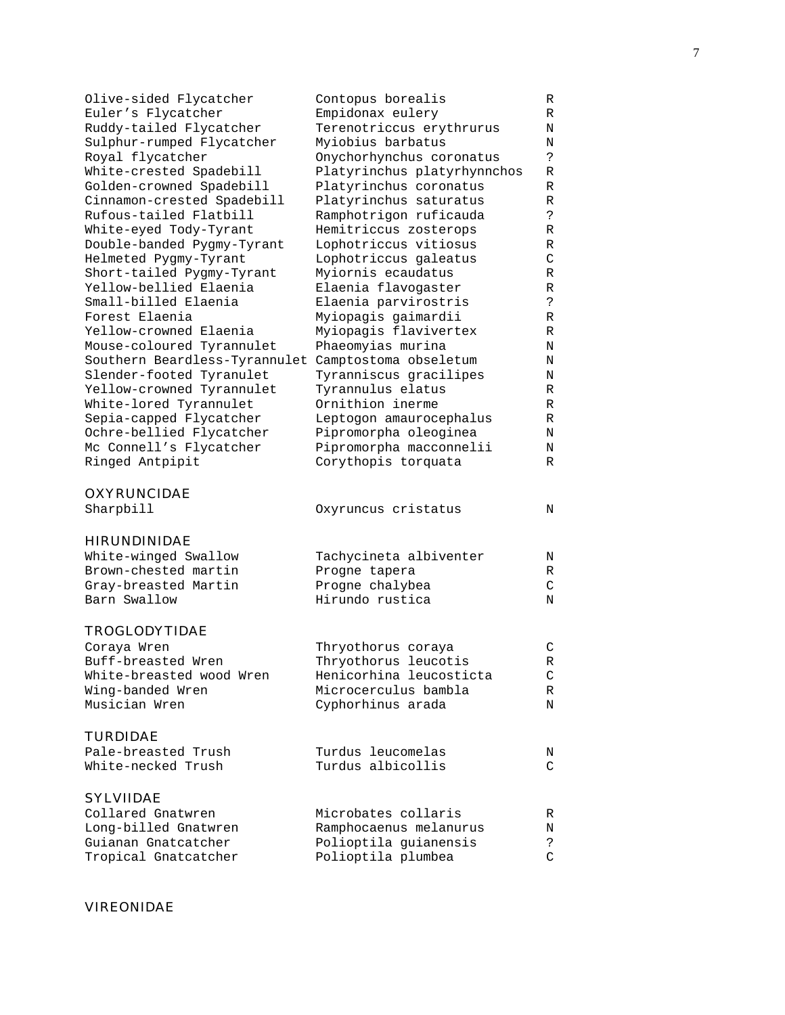| Olive-sided Flycatcher        | Contopus borealis           | R             |
|-------------------------------|-----------------------------|---------------|
| Euler's Flycatcher            | Empidonax eulery            | R             |
| Ruddy-tailed Flycatcher       | Terenotriccus erythrurus    | Ν             |
| Sulphur-rumped Flycatcher     | Myiobius barbatus           | Ν             |
| Royal flycatcher              | Onychorhynchus coronatus    | $\mathcal{E}$ |
| White-crested Spadebill       | Platyrinchus platyrhynnchos | R             |
| Golden-crowned Spadebill      | Platyrinchus coronatus      | R             |
| Cinnamon-crested Spadebill    | Platyrinchus saturatus      | R             |
| Rufous-tailed Flatbill        | Ramphotrigon ruficauda      | S.            |
| White-eyed Tody-Tyrant        | Hemitriccus zosterops       | R             |
| Double-banded Pygmy-Tyrant    | Lophotriccus vitiosus       | R             |
| Helmeted Pygmy-Tyrant         | Lophotriccus galeatus       | C             |
| Short-tailed Pygmy-Tyrant     | Myiornis ecaudatus          | R             |
| Yellow-bellied Elaenia        | Elaenia flavogaster         | R             |
| Small-billed Elaenia          | Elaenia parvirostris        | ?             |
| Forest Elaenia                | Myiopagis gaimardii         | R             |
| Yellow-crowned Elaenia        | Myiopagis flavivertex       | R             |
| Mouse-coloured Tyrannulet     | Phaeomyias murina           | Ν             |
| Southern Beardless-Tyrannulet | Camptostoma obseletum       | Ν             |
| Slender-footed Tyranulet      | Tyranniscus gracilipes      | Ν             |
|                               |                             |               |
| Yellow-crowned Tyrannulet     | Tyrannulus elatus           | R             |
| White-lored Tyrannulet        | Ornithion inerme            | R             |
| Sepia-capped Flycatcher       | Leptogon amaurocephalus     | R             |
| Ochre-bellied Flycatcher      | Pipromorpha oleoginea       | N             |
| Mc Connell's Flycatcher       | Pipromorpha macconnelii     | Ν             |
| Ringed Antpipit               | Corythopis torquata         | R             |
| <b>OXYRUNCIDAE</b>            |                             |               |
| Sharpbill                     | Oxyruncus cristatus         | N             |
|                               |                             |               |
| <b>HIRUNDINIDAE</b>           |                             |               |
| White-winged Swallow          | Tachycineta albiventer      | Ν             |
| Brown-chested martin          | Progne tapera               | R             |
| Gray-breasted Martin          | Progne chalybea             | C             |
| Barn Swallow                  | Hirundo rustica             | N             |
|                               |                             |               |
| TROGLODYTIDAE                 |                             |               |
| Coraya Wren                   | Thryothorus coraya          | $\mathsf C$   |
| Buff-breasted Wren            | Thryothorus leucotis        | R             |
| White-breasted wood Wren      | Henicorhina leucosticta     | C             |
| Wing-banded Wren              | Microcerculus bambla        | R             |
| Musician Wren                 | Cyphorhinus arada           | Ν             |
|                               |                             |               |
| <b>TURDIDAE</b>               |                             |               |
| Pale-breasted Trush           | Turdus leucomelas           | Ν             |
| White-necked Trush            | Turdus albicollis           | C             |
|                               |                             |               |
| <b>SYLVIIDAE</b>              |                             |               |
| Collared Gnatwren             | Microbates collaris         | R             |
| Long-billed Gnatwren          | Ramphocaenus melanurus      | Ν             |
| Guianan Gnatcatcher           | Polioptila guianensis       | ?             |
| Tropical Gnatcatcher          | Polioptila plumbea          | C             |

## VIREONIDAE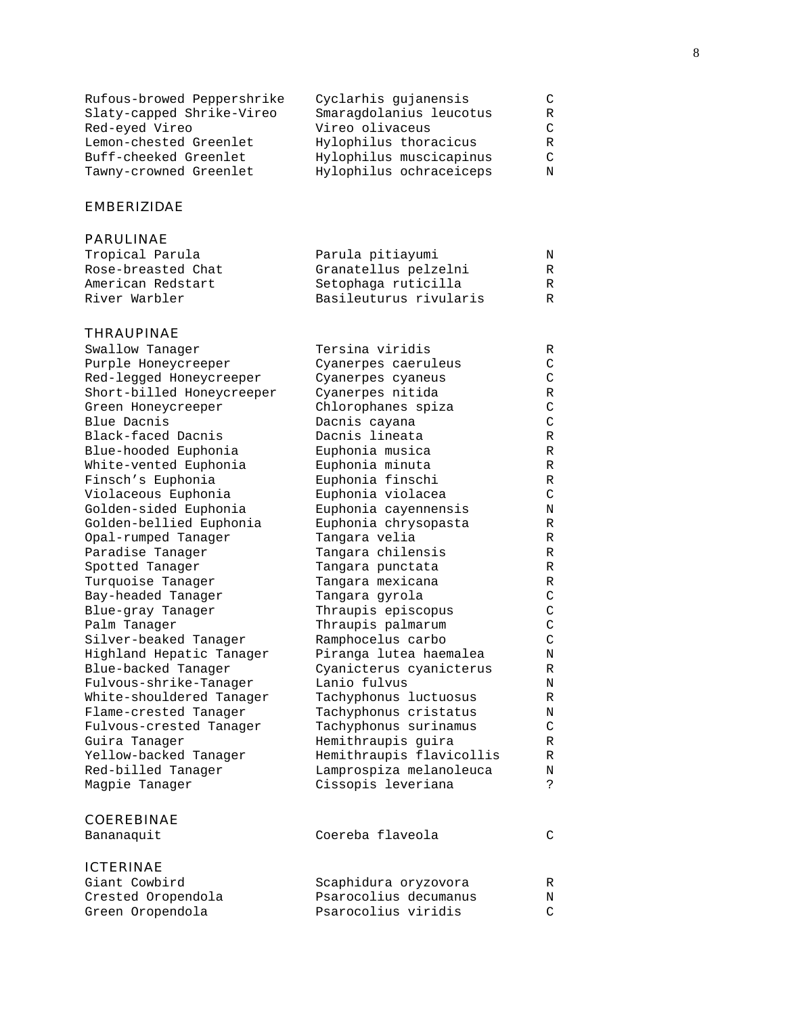| Cyclarhis qujanensis    |   |
|-------------------------|---|
| Smaragdolanius leucotus | R |
| Vireo olivaceus         |   |
| Hylophilus thoracicus   | R |
| Hylophilus muscicapinus |   |
| Hylophilus ochraceiceps |   |
|                         |   |

## EMBERIZIDAE

## PARULINAE

| Parula pitiayumi       | N |
|------------------------|---|
| Granatellus pelzelni   | R |
| Setophaga ruticilla    | R |
| Basileuturus rivularis | R |
|                        |   |

## THRAUPINAE

| Swallow Tanager           | Tersina viridis          | R             |
|---------------------------|--------------------------|---------------|
| Purple Honeycreeper       | Cyanerpes caeruleus      | C             |
| Red-legged Honeycreeper   | Cyanerpes cyaneus        | $\rm C$       |
| Short-billed Honeycreeper | Cyanerpes nitida         | R             |
| Green Honeycreeper        | Chlorophanes spiza       | $\mathcal{C}$ |
| Blue Dacnis               | Dacnis cayana            | $\mathsf{C}$  |
| Black-faced Dacnis        | Dacnis lineata           | R             |
| Blue-hooded Euphonia      | Euphonia musica          | R             |
| White-vented Euphonia     | Euphonia minuta          | R             |
| Finsch's Euphonia         | Euphonia finschi         | R             |
| Violaceous Euphonia       | Euphonia violacea        | C             |
| Golden-sided Euphonia     | Euphonia cayennensis     | Ν             |
| Golden-bellied Euphonia   | Euphonia chrysopasta     | R             |
| Opal-rumped Tanager       | Tangara velia            | R             |
| Paradise Tanager          | Tangara chilensis        | R             |
| Spotted Tanager           | Tangara punctata         | R             |
| Turquoise Tanager         | Tangara mexicana         | R             |
| Bay-headed Tanager        | Tangara gyrola           | C             |
| Blue-gray Tanager         | Thraupis episcopus       | $\rm C$       |
| Palm Tanager              | Thraupis palmarum        | $\mathsf{C}$  |
| Silver-beaked Tanager     | Ramphocelus carbo        | $\mathsf{C}$  |
| Highland Hepatic Tanager  | Piranga lutea haemalea   | N             |
| Blue-backed Tanager       | Cyanicterus cyanicterus  | R             |
| Fulvous-shrike-Tanager    | Lanio fulvus             | Ν             |
| White-shouldered Tanager  | Tachyphonus luctuosus    | R             |
| Flame-crested Tanager     | Tachyphonus cristatus    | Ν             |
| Fulvous-crested Tanager   | Tachyphonus surinamus    | C             |
| Guira Tanager             | Hemithraupis guira       | R             |
| Yellow-backed Tanager     | Hemithraupis flavicollis | R             |
| Red-billed Tanager        | Lamprospiza melanoleuca  | Ν             |
| Magpie Tanager            | Cissopis leveriana       | S.            |
| <b>COEREBINAE</b>         |                          |               |
| Bananaquit                | Coereba flaveola         | $\mathcal{C}$ |
| <b>ICTERINAE</b>          |                          |               |
| Giant Cowbird             | Scaphidura oryzovora     | R             |
| Crested Oropendola        | Psarocolius decumanus    | N             |
| Green Oropendola          | Psarocolius viridis      | $\mathcal{C}$ |